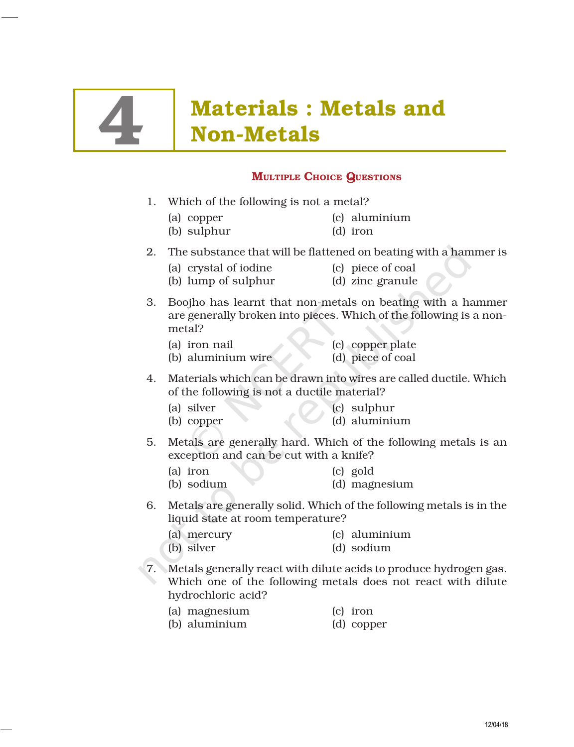# **Materials : Metals and<br>Non-Metals**

## MULTIPLE CHOICE QUESTIONS

- 1. Which of the following is not a metal? (a) copper (c) aluminium (b) sulphur (d) iron 2. The substance that will be flattened on beating with a hammer is (a) crystal of iodine (c) piece of coal (b) lump of sulphur (d) zinc granule 3. Boojho has learnt that non-metals on beating with a hammer are generally broken into pieces. Which of the following is a nonmetal? (a) iron nail (c) copper plate (b) aluminium wire (d) piece of coal 4. Materials which can be drawn into wires are called ductile. Which of the following is not a ductile material? (a) silver (c) sulphur (b) copper (d) aluminium 5. Metals are generally hard. Which of the following metals is an exception and can be cut with a knife? (a) iron (c) gold (b) sodium (d) magnesium 6. Metals are generally solid. Which of the following metals is in the liquid state at room temperature? (a) mercury (c) aluminium (b) silver (d) sodium 7. Metals generally react with dilute acids to produce hydrogen gas. Which one of the following metals does not react with dilute hydrochloric acid?
	- (a) magnesium (c) iron
	- (b) aluminium (d) copper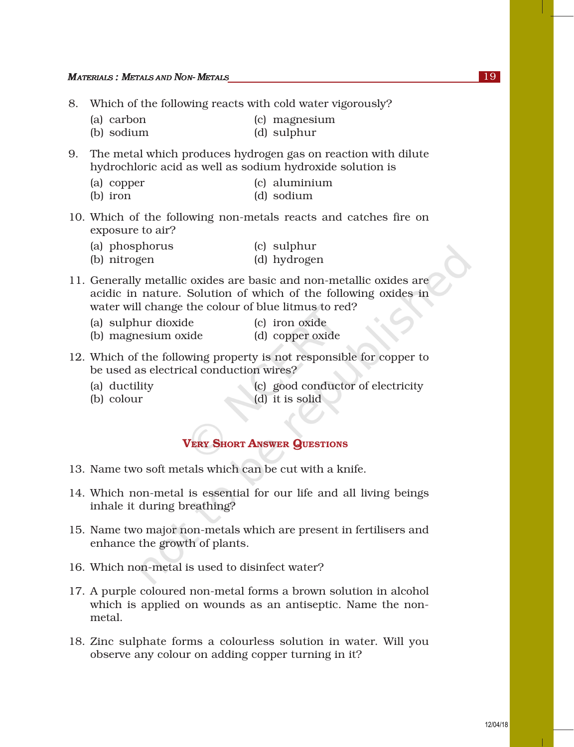- 8. Which of the following reacts with cold water vigorously?
	- (a) carbon (c) magnesium (b) sodium (d) sulphur
- 9. The metal which produces hydrogen gas on reaction with dilute
	- hydrochloric acid as well as sodium hydroxide solution is
		- (a) copper (c) aluminium
		- (b) iron (d) sodium
- 10. Which of the following non-metals reacts and catches fire on exposure to air?
	- (a) phosphorus (c) sulphur (b) nitrogen (d) hydrogen
	-
- 11. Generally metallic oxides are basic and non-metallic oxides are acidic in nature. Solution of which of the following oxides in water will change the colour of blue litmus to red?
	- (a) sulphur dioxide (c) iron oxide
	- (b) magnesium oxide (d) copper oxide
- 12. Which of the following property is not responsible for copper to be used as electrical conduction wires?
	-
	- (a) ductility (c) good conductor of electricity
	-
	- (b) colour (d) it is solid

# VERY SHORT ANSWER QUESTIONS

- 13. Name two soft metals which can be cut with a knife.
- 14. Which non-metal is essential for our life and all living beings inhale it during breathing?
- 15. Name two major non-metals which are present in fertilisers and enhance the growth of plants.
- 16. Which non-metal is used to disinfect water?
- 17. A purple coloured non-metal forms a brown solution in alcohol which is applied on wounds as an antiseptic. Name the nonmetal.
- 18. Zinc sulphate forms a colourless solution in water. Will you observe any colour on adding copper turning in it?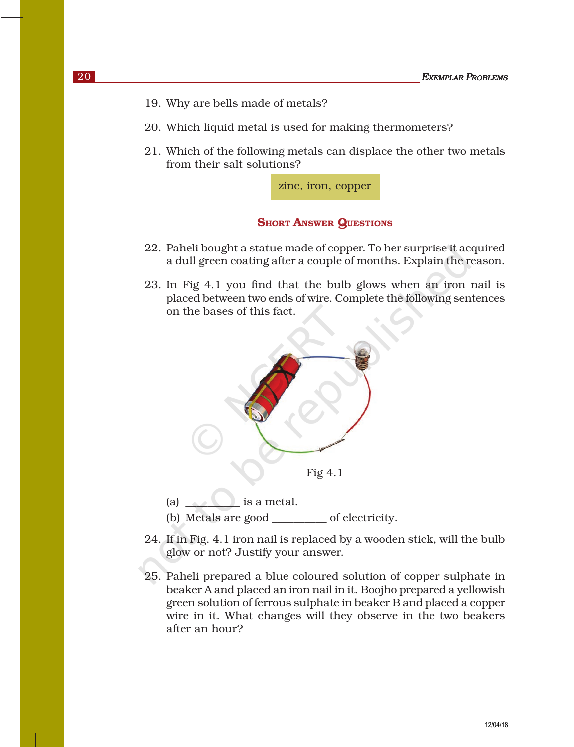- 19. Why are bells made of metals?
- 20. Which liquid metal is used for making thermometers?
- 21. Which of the following metals can displace the other two metals from their salt solutions?

zinc, iron, copper

### **SHORT ANSWER QUESTIONS**

- 22. Paheli bought a statue made of copper. To her surprise it acquired a dull green coating after a couple of months. Explain the reason.
- 23. In Fig 4.1 you find that the bulb glows when an iron nail is placed between two ends of wire. Complete the following sentences on the bases of this fact.



- (b) Metals are good \_\_\_\_\_\_\_\_\_\_ of electricity.
- 24. If in Fig. 4.1 iron nail is replaced by a wooden stick, will the bulb glow or not? Justify your answer.
- 25. Paheli prepared a blue coloured solution of copper sulphate in beaker A and placed an iron nail in it. Boojho prepared a yellowish green solution of ferrous sulphate in beaker B and placed a copper wire in it. What changes will they observe in the two beakers after an hour?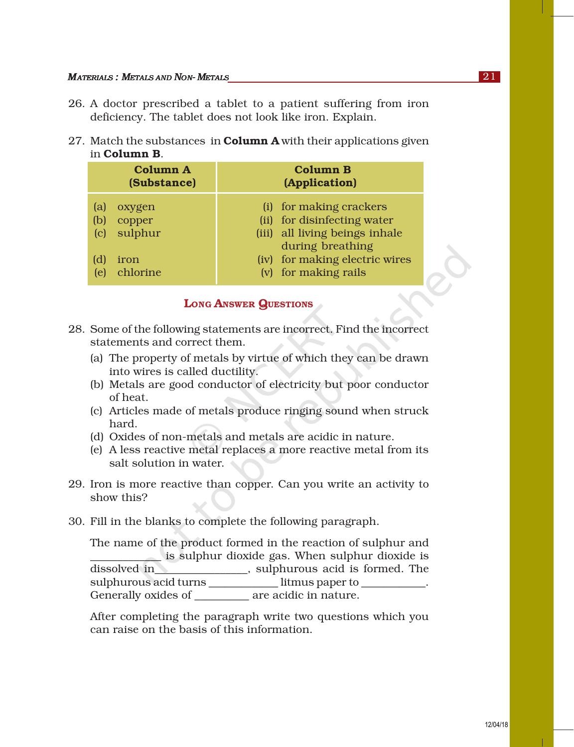- 26. A doctor prescribed a tablet to a patient suffering from iron deficiency. The tablet does not look like iron. Explain.
- 27. Match the substances in **Column A** with their applications given in Column B.

|                           | <b>Column A</b><br>(Substance) | <b>Column B</b><br>(Application)                   |
|---------------------------|--------------------------------|----------------------------------------------------|
| (a)                       | oxygen                         | (i) for making crackers                            |
| (b)                       | copper                         | (ii) for disinfecting water                        |
| $\left( \text{c} \right)$ | sulphur                        | (iii) all living beings inhale<br>during breathing |
| (d)                       | iron                           | (iv) for making electric wires                     |
| le)                       | chlorine                       | (v) for making rails                               |

### LONG ANSWER QUESTIONS

- 28. Some of the following statements are incorrect. Find the incorrect statements and correct them.
	- (a) The property of metals by virtue of which they can be drawn into wires is called ductility.
	- (b) Metals are good conductor of electricity but poor conductor of heat.
	- (c) Articles made of metals produce ringing sound when struck hard.
	- (d) Oxides of non-metals and metals are acidic in nature.
	- (e) A less reactive metal replaces a more reactive metal from its salt solution in water.
- 29. Iron is more reactive than copper. Can you write an activity to show this?
- 30. Fill in the blanks to complete the following paragraph.

The name of the product formed in the reaction of sulphur and \_\_\_\_\_\_\_\_\_\_\_\_\_ is sulphur dioxide gas. When sulphur dioxide is dissolved in the sulphurous acid is formed. The sulphurous acid turns \_\_\_\_\_\_\_\_\_\_\_\_\_\_ litmus paper to \_\_\_\_\_\_\_\_\_\_\_. Generally oxides of \_\_\_\_\_\_\_\_\_\_ are acidic in nature.

After completing the paragraph write two questions which you can raise on the basis of this information.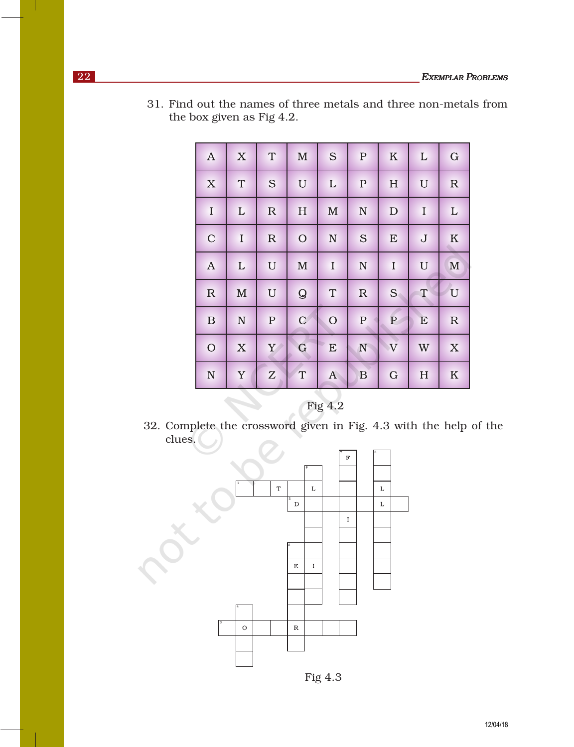| $\boldsymbol{A}$        | $\mathbf X$               | $\mathbf T$      | $\mathbf M$               | S              | ${\bf P}$      | ${\bf K}$   | $\mathbf L$ | ${\bf G}$                 |
|-------------------------|---------------------------|------------------|---------------------------|----------------|----------------|-------------|-------------|---------------------------|
| $\overline{\mathbf{X}}$ | T                         | S                | $\mathbf U$               | $\mathbf L$    | ${\bf P}$      | H           | $\mathbf U$ | ${\bf R}$                 |
| $\mathbf I$             | $\mathbf L$               | ${\mathbf R}$    | $\boldsymbol{\mathrm{H}}$ | $\mathbf M$    | $\overline{N}$ | ${\bf D}$   | $\bf I$     | $\mathbf L$               |
| $\mathcal{C}$           | $\bf I$                   | ${\mathbf R}$    | $\mathcal{O}$             | $\mathbf N$    | S              | ${\bf E}$   | $\bf J$     | ${\bf K}$                 |
| $\boldsymbol{A}$        | $\mathbf{L}$              | $\mathbf U$      | $\mathbf M$               | $\bf I$        | $\mathbf N$    | $\bf I$     | $\mathbf U$ | $\mathbf M$               |
| ${\mathbf R}$           | $\mathbf M$               | $\mathbf U$      | ${\cal Q}$                | $\mathbf T$    | $\mathbb R$    | S           | T           | $\mathbf U$               |
| $\mathbf B$             | $\mathbf N$               | ${\bf P}$        | $\mathbf C$               | $\overline{O}$ | ${\bf P}$      | ${\bf P}$   | ${\bf E}$   | ${\bf R}$                 |
| $\overline{O}$          | $\boldsymbol{\mathrm{X}}$ | Y                | G                         | E              | N              | V           | W           | $\boldsymbol{\mathrm{X}}$ |
| $\mathbf N$             | $\mathbf Y$               | $\boldsymbol{Z}$ | T                         | $\mathbf{A}$   | B              | $\mathbf G$ | H           | ${\bf K}$                 |

31. Find out the names of three metals and three non-metals from the box given as Fig 4.2.



32. Complete the crossword given in Fig. 4.3 with the help of the clues.



Fig 4.3